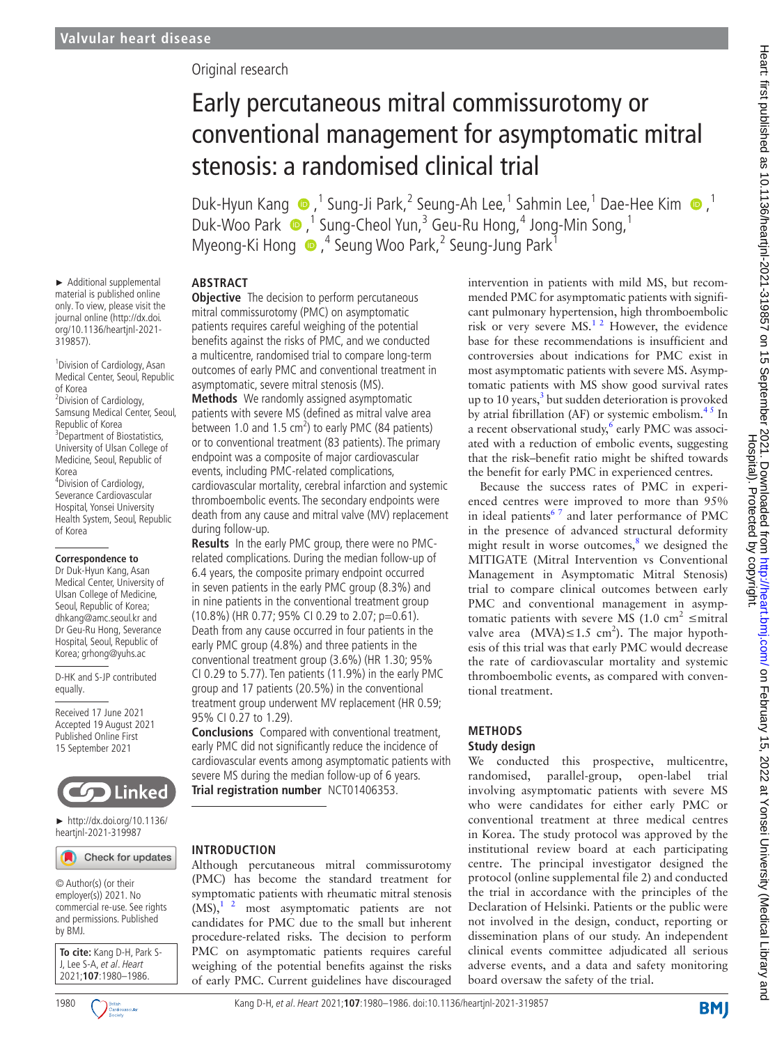► Additional supplemental material is published online only. To view, please visit the journal online ([http://dx.doi.](http://dx.doi.org/10.1136/heartjnl-2021-319857) [org/10.1136/heartjnl-2021-](http://dx.doi.org/10.1136/heartjnl-2021-319857)

1 Division of Cardiology, Asan Medical Center, Seoul, Republic

<sup>2</sup> Division of Cardiology, Samsung Medical Center, Seoul,

4 Division of Cardiology, Severance Cardiovascular Hospital, Yonsei University Health System, Seoul, Republic

**Correspondence to** Dr Duk-Hyun Kang, Asan Medical Center, University of Ulsan College of Medicine, Seoul, Republic of Korea; dhkang@amc.seoul.kr and Dr Geu-Ru Hong, Severance Hospital, Seoul, Republic of Korea; grhong@yuhs.ac D-HK and S-JP contributed

Received 17 June 2021 Accepted 19 August 2021 Published Online First 15 September 2021

Republic of Korea <sup>3</sup> Department of Biostatistics, University of Ulsan College of Medicine, Seoul, Republic of

[319857](http://dx.doi.org/10.1136/heartjnl-2021-319857)).

of Korea

Korea

of Korea

equally.

# Original research

# Early percutaneous mitral commissurotomy or conventional management for asymptomatic mitral stenosis: a randomised clinical trial

Duk-Hyun Kang ,1 Sung-Ji Park,2 Seung-Ah Lee, 1 Sahmin Lee,1 Dae-Hee Kim,1 Duk-Woo Park  $\bullet$ ,<sup>1</sup> Sung-Cheol Yun,<sup>3</sup> Geu-Ru Hong,<sup>4</sup> Jong-Min Song,<sup>1</sup> Myeong-KiHong  $\bigcirc$ , <sup>4</sup> Seung Woo Park, <sup>2</sup> Seung-Jung Park<sup>1</sup>

## **ABSTRACT**

**Objective** The decision to perform percutaneous mitral commissurotomy (PMC) on asymptomatic patients requires careful weighing of the potential benefits against the risks of PMC, and we conducted a multicentre, randomised trial to compare long-term outcomes of early PMC and conventional treatment in asymptomatic, severe mitral stenosis (MS).

**Methods** We randomly assigned asymptomatic patients with severe MS (defined as mitral valve area between 1.0 and 1.5  $\text{cm}^2$ ) to early PMC (84 patients) or to conventional treatment (83 patients). The primary endpoint was a composite of major cardiovascular events, including PMC-related complications, cardiovascular mortality, cerebral infarction and systemic thromboembolic events. The secondary endpoints were death from any cause and mitral valve (MV) replacement during follow-up.

**Results** In the early PMC group, there were no PMCrelated complications. During the median follow-up of 6.4 years, the composite primary endpoint occurred in seven patients in the early PMC group (8.3%) and in nine patients in the conventional treatment group (10.8%) (HR 0.77; 95% CI 0.29 to 2.07; p=0.61). Death from any cause occurred in four patients in the early PMC group (4.8%) and three patients in the conventional treatment group (3.6%) (HR 1.30; 95% CI 0.29 to 5.77). Ten patients (11.9%) in the early PMC group and 17 patients (20.5%) in the conventional treatment group underwent MV replacement (HR 0.59; 95% CI 0.27 to 1.29).

**Conclusions** Compared with conventional treatment, early PMC did not significantly reduce the incidence of cardiovascular events among asymptomatic patients with severe MS during the median follow-up of 6 years. **Trial registration number** <NCT01406353>.

**INTRODUCTION** Check for updates

© Author(s) (or their employer(s)) 2021. No commercial re-use. See rights and permissions. Published by BMJ.

► [http://dx.doi.org/10.1136/](http://dx.doi.org/10.1136/heartjnl-2021-319987) [heartjnl-2021-319987](http://dx.doi.org/10.1136/heartjnl-2021-319987)

**Linked** 

**To cite:** Kang D-H, Park S-J, Lee S-A, et al. Heart 2021;**107**:1980–1986.





symptomatic patients with rheumatic mitral stenosis  $(MS)$ ,<sup>1</sup> <sup>2</sup> most asymptomatic patients are not candidates for PMC due to the small but inherent procedure-related risks. The decision to perform PMC on asymptomatic patients requires careful weighing of the potential benefits against the risks of early PMC. Current guidelines have discouraged

Although percutaneous mitral commissurotomy (PMC) has become the standard treatment for intervention in patients with mild MS, but recommended PMC for asymptomatic patients with significant pulmonary hypertension, high thromboembolic risk or very severe  $MS<sup>12</sup>$  However, the evidence base for these recommendations is insufficient and controversies about indications for PMC exist in most asymptomatic patients with severe MS. Asymptomatic patients with MS show good survival rates up to 10 years, $3$  but sudden deterioration is provoked by atrial fibrillation (AF) or systemic embolism. $4<sup>5</sup>$  In a recent observational study, $6$  early PMC was associated with a reduction of embolic events, suggesting that the risk–benefit ratio might be shifted towards the benefit for early PMC in experienced centres.

Because the success rates of PMC in experienced centres were improved to more than 95% in ideal patients<sup>67</sup> and later performance of PMC in the presence of advanced structural deformity might result in worse outcomes, $8$  we designed the MITIGATE (Mitral Intervention vs Conventional Management in Asymptomatic Mitral Stenosis) trial to compare clinical outcomes between early PMC and conventional management in asymptomatic patients with severe MS (1.0 cm<sup>2</sup>  $\leq$ mitral valve area  $(MVA) ≤ 1.5 cm<sup>2</sup>$ ). The major hypothesis of this trial was that early PMC would decrease the rate of cardiovascular mortality and systemic thromboembolic events, as compared with conventional treatment.

## **METHODS**

#### **Study design**

We conducted this prospective, multicentre, randomised, parallel-group, open-label trial involving asymptomatic patients with severe MS who were candidates for either early PMC or conventional treatment at three medical centres in Korea. The study protocol was approved by the institutional review board at each participating centre. The principal investigator designed the protocol ([online supplemental file 2](https://dx.doi.org/10.1136/heartjnl-2021-319857)) and conducted the trial in accordance with the principles of the Declaration of Helsinki. Patients or the public were not involved in the design, conduct, reporting or dissemination plans of our study. An independent clinical events committee adjudicated all serious adverse events, and a data and safety monitoring board oversaw the safety of the trial.

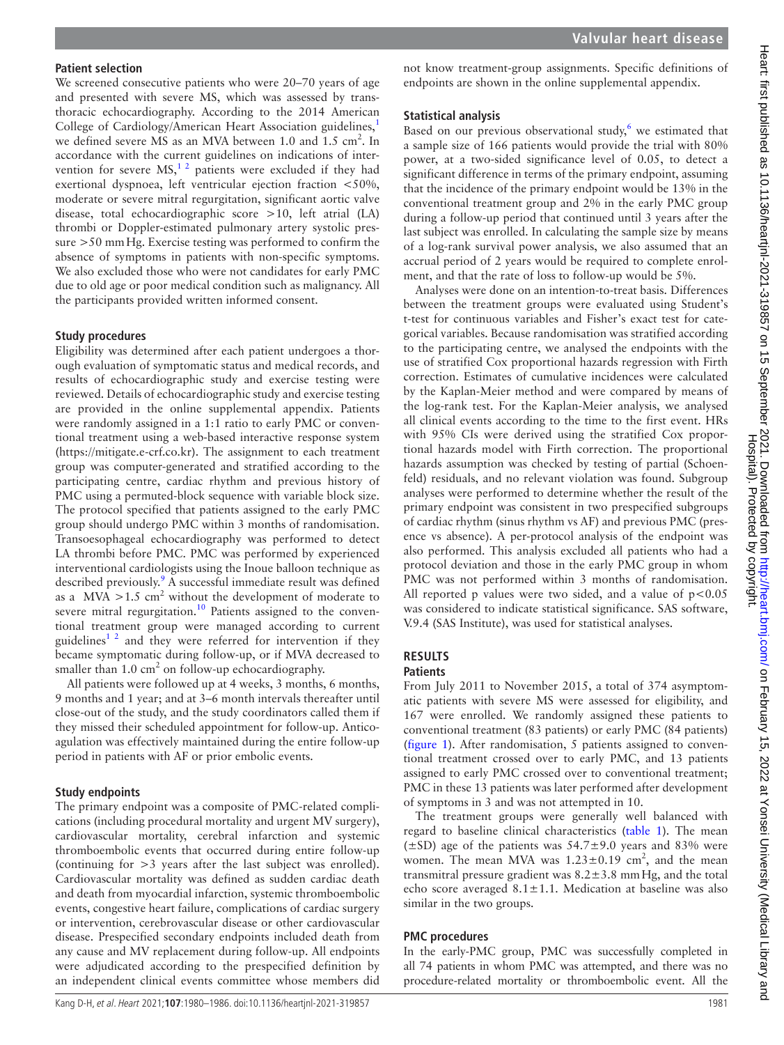#### **Patient selection**

We screened consecutive patients who were 20–70 years of age and presented with severe MS, which was assessed by transthoracic echocardiography. According to the 2014 American College of Cardiology/American Heart Association guidelines,<sup>1</sup> we defined severe MS as an MVA between 1.0 and 1.5 cm<sup>2</sup>. In accordance with the current guidelines on indications of intervention for severe  $MS<sub>1</sub><sup>12</sup>$  patients were excluded if they had exertional dyspnoea, left ventricular ejection fraction <50%, moderate or severe mitral regurgitation, significant aortic valve disease, total echocardiographic score >10, left atrial (LA) thrombi or Doppler-estimated pulmonary artery systolic pressure >50 mmHg. Exercise testing was performed to confirm the absence of symptoms in patients with non-specific symptoms. We also excluded those who were not candidates for early PMC due to old age or poor medical condition such as malignancy. All the participants provided written informed consent.

#### **Study procedures**

Eligibility was determined after each patient undergoes a thorough evaluation of symptomatic status and medical records, and results of echocardiographic study and exercise testing were reviewed. Details of echocardiographic study and exercise testing are provided in the [online supplemental appendix.](https://dx.doi.org/10.1136/heartjnl-2021-319857) Patients were randomly assigned in a 1:1 ratio to early PMC or conventional treatment using a web-based interactive response system ([https://mitigate.e-crf.co.kr\)](https://mitigate.e-crf.co.kr). The assignment to each treatment group was computer-generated and stratified according to the participating centre, cardiac rhythm and previous history of PMC using a permuted-block sequence with variable block size. The protocol specified that patients assigned to the early PMC group should undergo PMC within 3 months of randomisation. Transoesophageal echocardiography was performed to detect LA thrombi before PMC. PMC was performed by experienced interventional cardiologists using the Inoue balloon technique as described previously.<sup>9</sup> A successful immediate result was defined as a MVA  $>1.5$  cm<sup>2</sup> without the development of moderate to severe mitral regurgitation.<sup>[10](#page-5-6)</sup> Patients assigned to the conventional treatment group were managed according to current guidelines<sup> $1<sup>2</sup>$  and they were referred for intervention if they</sup> became symptomatic during follow-up, or if MVA decreased to smaller than  $1.0 \text{ cm}^2$  on follow-up echocardiography.

All patients were followed up at 4 weeks, 3 months, 6 months, 9 months and 1 year; and at 3–6 month intervals thereafter until close-out of the study, and the study coordinators called them if they missed their scheduled appointment for follow-up. Anticoagulation was effectively maintained during the entire follow-up period in patients with AF or prior embolic events.

#### **Study endpoints**

The primary endpoint was a composite of PMC-related complications (including procedural mortality and urgent MV surgery), cardiovascular mortality, cerebral infarction and systemic thromboembolic events that occurred during entire follow-up (continuing for >3 years after the last subject was enrolled). Cardiovascular mortality was defined as sudden cardiac death and death from myocardial infarction, systemic thromboembolic events, congestive heart failure, complications of cardiac surgery or intervention, cerebrovascular disease or other cardiovascular disease. Prespecified secondary endpoints included death from any cause and MV replacement during follow-up. All endpoints were adjudicated according to the prespecified definition by an independent clinical events committee whose members did

not know treatment-group assignments. Specific definitions of endpoints are shown in the [online supplemental appendix](https://dx.doi.org/10.1136/heartjnl-2021-319857).

#### **Statistical analysis**

Based on our previous observational study, $6$  we estimated that a sample size of 166 patients would provide the trial with 80% power, at a two-sided significance level of 0.05, to detect a significant difference in terms of the primary endpoint, assuming that the incidence of the primary endpoint would be 13% in the conventional treatment group and 2% in the early PMC group during a follow-up period that continued until 3 years after the last subject was enrolled. In calculating the sample size by means of a log-rank survival power analysis, we also assumed that an accrual period of 2 years would be required to complete enrolment, and that the rate of loss to follow-up would be 5%.

Analyses were done on an intention-to-treat basis. Differences between the treatment groups were evaluated using Student's t-test for continuous variables and Fisher's exact test for categorical variables. Because randomisation was stratified according to the participating centre, we analysed the endpoints with the use of stratified Cox proportional hazards regression with Firth correction. Estimates of cumulative incidences were calculated by the Kaplan-Meier method and were compared by means of the log-rank test. For the Kaplan-Meier analysis, we analysed all clinical events according to the time to the first event. HRs with 95% CIs were derived using the stratified Cox proportional hazards model with Firth correction. The proportional hazards assumption was checked by testing of partial (Schoenfeld) residuals, and no relevant violation was found. Subgroup analyses were performed to determine whether the result of the primary endpoint was consistent in two prespecified subgroups of cardiac rhythm (sinus rhythm vs AF) and previous PMC (presence vs absence). A per-protocol analysis of the endpoint was also performed. This analysis excluded all patients who had a protocol deviation and those in the early PMC group in whom PMC was not performed within 3 months of randomisation. All reported p values were two sided, and a value of  $p < 0.05$ was considered to indicate statistical significance. SAS software, V.9.4 (SAS Institute), was used for statistical analyses.

# **RESULTS**

**Patients**

From July 2011 to November 2015, a total of 374 asymptomatic patients with severe MS were assessed for eligibility, and 167 were enrolled. We randomly assigned these patients to conventional treatment (83 patients) or early PMC (84 patients) ([figure](#page-2-0) 1). After randomisation, 5 patients assigned to conventional treatment crossed over to early PMC, and 13 patients assigned to early PMC crossed over to conventional treatment; PMC in these 13 patients was later performed after development of symptoms in 3 and was not attempted in 10.

The treatment groups were generally well balanced with regard to baseline clinical characteristics ([table](#page-2-1) 1). The mean  $(\pm SD)$  age of the patients was 54.7 $\pm$ 9.0 years and 83% were women. The mean MVA was  $1.23 \pm 0.19$  cm<sup>2</sup>, and the mean transmitral pressure gradient was  $8.2 \pm 3.8$  mm Hg, and the total echo score averaged  $8.1 \pm 1.1$ . Medication at baseline was also similar in the two groups.

#### **PMC procedures**

In the early-PMC group, PMC was successfully completed in all 74 patients in whom PMC was attempted, and there was no procedure-related mortality or thromboembolic event. All the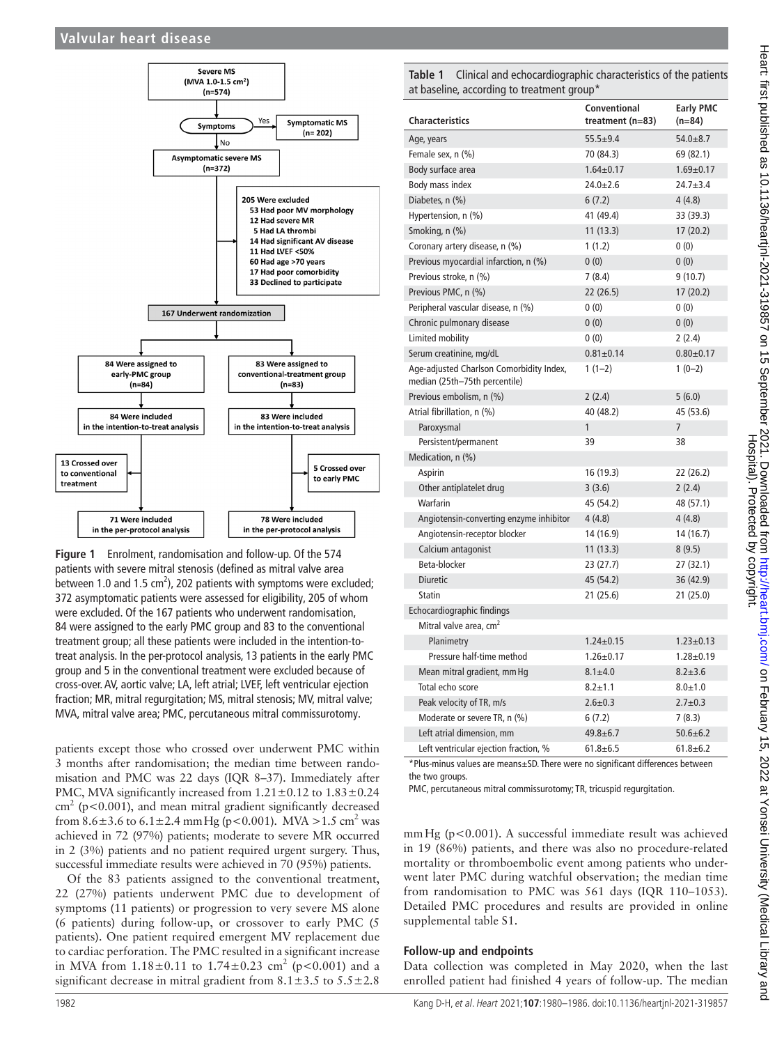## **Valvular heart disease**



<span id="page-2-0"></span>**Figure 1** Enrolment, randomisation and follow-up. Of the 574 patients with severe mitral stenosis (defined as mitral valve area between 1.0 and 1.5  $\text{cm}^2$ ), 202 patients with symptoms were excluded; 372 asymptomatic patients were assessed for eligibility, 205 of whom were excluded. Of the 167 patients who underwent randomisation, 84 were assigned to the early PMC group and 83 to the conventional treatment group; all these patients were included in the intention-totreat analysis. In the per-protocol analysis, 13 patients in the early PMC group and 5 in the conventional treatment were excluded because of cross-over. AV, aortic valve; LA, left atrial; LVEF, left ventricular ejection fraction; MR, mitral regurgitation; MS, mitral stenosis; MV, mitral valve; MVA, mitral valve area; PMC, percutaneous mitral commissurotomy.

patients except those who crossed over underwent PMC within 3 months after randomisation; the median time between randomisation and PMC was 22 days (IQR 8–37). Immediately after PMC, MVA significantly increased from  $1.21 \pm 0.12$  to  $1.83 \pm 0.24$  $\text{cm}^2$  (p<0.001), and mean mitral gradient significantly decreased from  $8.6 \pm 3.6$  to  $6.1 \pm 2.4$  mm Hg (p<0.001). MVA > 1.5 cm<sup>2</sup> was achieved in 72 (97%) patients; moderate to severe MR occurred in 2 (3%) patients and no patient required urgent surgery. Thus, successful immediate results were achieved in 70 (95%) patients.

Of the 83 patients assigned to the conventional treatment, 22 (27%) patients underwent PMC due to development of symptoms (11 patients) or progression to very severe MS alone (6 patients) during follow-up, or crossover to early PMC (5 patients). One patient required emergent MV replacement due to cardiac perforation. The PMC resulted in a significant increase in MVA from  $1.18 \pm 0.11$  to  $1.74 \pm 0.23$  cm<sup>2</sup> (p<0.001) and a significant decrease in mitral gradient from  $8.1 \pm 3.5$  to  $5.5 \pm 2.8$ 

<span id="page-2-1"></span>**Table 1** Clinical and echocardiographic characteristics of the patients at baseline, according to treatment group\*

| <b>Characteristics</b>                                                    | Conventional<br>treatment (n=83) | <b>Early PMC</b><br>$(n=84)$ |  |
|---------------------------------------------------------------------------|----------------------------------|------------------------------|--|
| Age, years                                                                | $55.5 + 9.4$                     | $54.0 + 8.7$                 |  |
| Female sex, n (%)                                                         | 70 (84.3)                        | 69 (82.1)                    |  |
| Body surface area                                                         | $1.64 \pm 0.17$                  | $1.69 + 0.17$                |  |
| Body mass index                                                           | $24.0 \pm 2.6$                   | $24.7 + 3.4$                 |  |
| Diabetes, n (%)                                                           | 6(7.2)                           | 4(4.8)                       |  |
| Hypertension, n (%)                                                       | 41 (49.4)                        | 33 (39.3)                    |  |
| Smoking, n (%)                                                            | 11(13.3)                         | 17(20.2)                     |  |
| Coronary artery disease, n (%)                                            | 1(1.2)                           | 0(0)                         |  |
| Previous myocardial infarction, n (%)                                     | 0(0)                             | 0(0)                         |  |
| Previous stroke, n (%)                                                    | 7(8.4)                           | 9(10.7)                      |  |
| Previous PMC, n (%)                                                       | 22 (26.5)                        | 17(20.2)                     |  |
| Peripheral vascular disease, n (%)                                        | 0(0)                             | 0(0)                         |  |
| Chronic pulmonary disease                                                 | 0(0)                             | 0(0)                         |  |
| Limited mobility                                                          | 0(0)                             | 2(2.4)                       |  |
| Serum creatinine, mg/dL                                                   | $0.81 \pm 0.14$                  | $0.80 + 0.17$                |  |
| Age-adjusted Charlson Comorbidity Index,<br>median (25th-75th percentile) | $1(1-2)$                         | $1(0-2)$                     |  |
| Previous embolism, n (%)                                                  | 2(2.4)                           | 5(6.0)                       |  |
| Atrial fibrillation, n (%)                                                | 40 (48.2)                        | 45 (53.6)                    |  |
| Paroxysmal                                                                | $\mathbf{1}$                     | $\overline{7}$               |  |
| Persistent/permanent                                                      | 39                               | 38                           |  |
| Medication, n (%)                                                         |                                  |                              |  |
| Aspirin                                                                   | 16 (19.3)                        | 22 (26.2)                    |  |
| Other antiplatelet drug                                                   | 3(3.6)                           | 2(2.4)                       |  |
| Warfarin                                                                  | 45 (54.2)                        | 48 (57.1)                    |  |
| Angiotensin-converting enzyme inhibitor                                   | 4(4.8)                           | 4(4.8)                       |  |
| Angiotensin-receptor blocker                                              | 14 (16.9)                        | 14 (16.7)                    |  |
| Calcium antagonist                                                        | 11(13.3)                         | 8(9.5)                       |  |
| Beta-blocker                                                              | 23 (27.7)                        | 27(32.1)                     |  |
| <b>Diuretic</b>                                                           | 45 (54.2)                        | 36 (42.9)                    |  |
| <b>Statin</b>                                                             | 21(25.6)                         | 21(25.0)                     |  |
| Echocardiographic findings                                                |                                  |                              |  |
| Mitral valve area, cm <sup>2</sup>                                        |                                  |                              |  |
| Planimetry                                                                | $1.24 \pm 0.15$                  | $1.23 \pm 0.13$              |  |
| Pressure half-time method                                                 | $1.26 \pm 0.17$                  | $1.28 \pm 0.19$              |  |
| Mean mitral gradient, mm Hg                                               | $8.1 + 4.0$                      | $8.2 + 3.6$                  |  |
| Total echo score                                                          | $8.2 \pm 1.1$                    | $8.0 + 1.0$                  |  |
| Peak velocity of TR, m/s                                                  | $2.6 + 0.3$                      | $2.7 + 0.3$                  |  |
| Moderate or severe TR, n (%)                                              | 6(7.2)                           | 7(8.3)                       |  |
| Left atrial dimension, mm                                                 | $49.8 + 6.7$                     | $50.6 \pm 6.2$               |  |
| Left ventricular ejection fraction, %                                     | $61.8 + 6.5$                     | $61.8 + 6.2$                 |  |

\*Plus-minus values are means±SD. There were no significant differences between the two groups.

PMC, percutaneous mitral commissurotomy; TR, tricuspid regurgitation.

mmHg (p<0.001). A successful immediate result was achieved in 19 (86%) patients, and there was also no procedure-related mortality or thromboembolic event among patients who underwent later PMC during watchful observation; the median time from randomisation to PMC was 561 days (IQR 110–1053). Detailed PMC procedures and results are provided in [online](https://dx.doi.org/10.1136/heartjnl-2021-319857) [supplemental table S1.](https://dx.doi.org/10.1136/heartjnl-2021-319857)

#### **Follow-up and endpoints**

Data collection was completed in May 2020, when the last enrolled patient had finished 4 years of follow-up. The median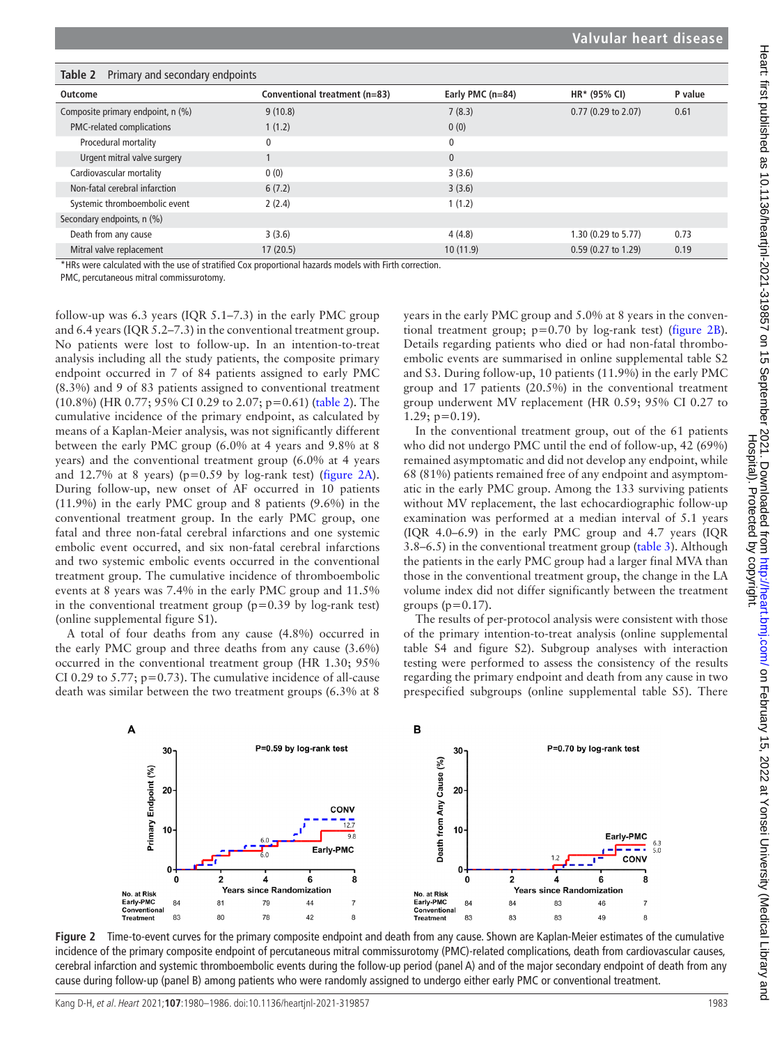<span id="page-3-0"></span>

| Table 2<br>Primary and secondary endpoints |                               |                  |                     |         |
|--------------------------------------------|-------------------------------|------------------|---------------------|---------|
| Outcome                                    | Conventional treatment (n=83) | Early PMC (n=84) | HR* (95% CI)        | P value |
| Composite primary endpoint, n (%)          | 9(10.8)                       | 7(8.3)           | 0.77 (0.29 to 2.07) | 0.61    |
| PMC-related complications                  | 1(1.2)                        | 0(0)             |                     |         |
| Procedural mortality                       | 0                             | 0                |                     |         |
| Urgent mitral valve surgery                |                               | $\mathbf{0}$     |                     |         |
| Cardiovascular mortality                   | 0(0)                          | 3(3.6)           |                     |         |
| Non-fatal cerebral infarction              | 6(7.2)                        | 3(3.6)           |                     |         |
| Systemic thromboembolic event              | 2(2.4)                        | 1(1.2)           |                     |         |
| Secondary endpoints, n (%)                 |                               |                  |                     |         |
| Death from any cause                       | 3(3.6)                        | 4(4.8)           | 1.30 (0.29 to 5.77) | 0.73    |
| Mitral valve replacement                   | 17(20.5)                      | 10(11.9)         | 0.59 (0.27 to 1.29) | 0.19    |

\*HRs were calculated with the use of stratified Cox proportional hazards models with Firth correction.

PMC, percutaneous mitral commissurotomy.

follow-up was 6.3 years (IQR 5.1–7.3) in the early PMC group and 6.4 years (IQR 5.2–7.3) in the conventional treatment group. No patients were lost to follow-up. In an intention-to-treat analysis including all the study patients, the composite primary endpoint occurred in 7 of 84 patients assigned to early PMC (8.3%) and 9 of 83 patients assigned to conventional treatment  $(10.8\%)$  (HR 0.77; 95% CI 0.29 to 2.07; p=0.61) [\(table](#page-3-0) 2). The cumulative incidence of the primary endpoint, as calculated by means of a Kaplan-Meier analysis, was not significantly different between the early PMC group (6.0% at 4 years and 9.8% at 8 years) and the conventional treatment group (6.0% at 4 years and 12.7% at 8 years) ( $p=0.59$  by log-rank test) ([figure](#page-3-1) 2A). During follow-up, new onset of AF occurred in 10 patients (11.9%) in the early PMC group and 8 patients (9.6%) in the conventional treatment group. In the early PMC group, one fatal and three non-fatal cerebral infarctions and one systemic embolic event occurred, and six non-fatal cerebral infarctions and two systemic embolic events occurred in the conventional treatment group. The cumulative incidence of thromboembolic events at 8 years was 7.4% in the early PMC group and 11.5% in the conventional treatment group  $(p=0.39)$  by log-rank test) ([online supplemental figure S1\)](https://dx.doi.org/10.1136/heartjnl-2021-319857).

A total of four deaths from any cause (4.8%) occurred in the early PMC group and three deaths from any cause (3.6%) occurred in the conventional treatment group (HR 1.30; 95% CI 0.29 to 5.77;  $p=0.73$ ). The cumulative incidence of all-cause death was similar between the two treatment groups (6.3% at 8

years in the early PMC group and 5.0% at 8 years in the conventional treatment group; p=0.70 by log-rank test) ([figure](#page-3-1) 2B). Details regarding patients who died or had non-fatal thromboembolic events are summarised in [online supplemental table S2](https://dx.doi.org/10.1136/heartjnl-2021-319857) [and S3.](https://dx.doi.org/10.1136/heartjnl-2021-319857) During follow-up, 10 patients (11.9%) in the early PMC group and 17 patients (20.5%) in the conventional treatment group underwent MV replacement (HR 0.59; 95% CI 0.27 to  $1.29$ ;  $p=0.19$ ).

In the conventional treatment group, out of the 61 patients who did not undergo PMC until the end of follow-up, 42 (69%) remained asymptomatic and did not develop any endpoint, while 68 (81%) patients remained free of any endpoint and asymptomatic in the early PMC group. Among the 133 surviving patients without MV replacement, the last echocardiographic follow-up examination was performed at a median interval of 5.1 years (IQR 4.0–6.9) in the early PMC group and 4.7 years (IQR 3.8–6.5) in the conventional treatment group [\(table](#page-4-0) 3). Although the patients in the early PMC group had a larger final MVA than those in the conventional treatment group, the change in the LA volume index did not differ significantly between the treatment groups  $(p=0.17)$ .

The results of per-protocol analysis were consistent with those of the primary intention-to-treat analysis [\(online supplemental](https://dx.doi.org/10.1136/heartjnl-2021-319857) [table S4 and figure S2\)](https://dx.doi.org/10.1136/heartjnl-2021-319857). Subgroup analyses with interaction testing were performed to assess the consistency of the results regarding the primary endpoint and death from any cause in two prespecified subgroups ([online supplemental table S5\)](https://dx.doi.org/10.1136/heartjnl-2021-319857). There



<span id="page-3-1"></span>**Figure 2** Time-to-event curves for the primary composite endpoint and death from any cause. Shown are Kaplan-Meier estimates of the cumulative incidence of the primary composite endpoint of percutaneous mitral commissurotomy (PMC)-related complications, death from cardiovascular causes, cerebral infarction and systemic thromboembolic events during the follow-up period (panel A) and of the major secondary endpoint of death from any cause during follow-up (panel B) among patients who were randomly assigned to undergo either early PMC or conventional treatment.

Kang D-H, et al. Heart 2021;**107**:1980–1986. doi:10.1136/heartjnl-2021-319857 1983

Hospital). Protected by copyright.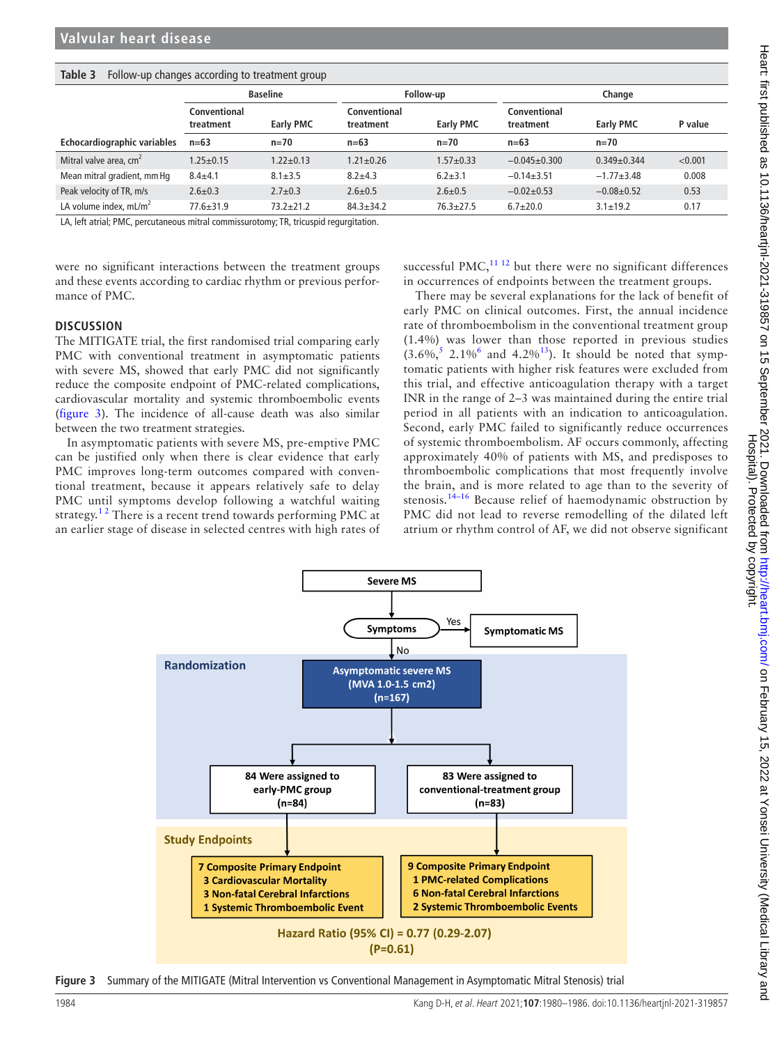| iunic J<br>TONOW ap changes according to treatment group |                           |                  |                           |                  |                           |                  |         |  |  |
|----------------------------------------------------------|---------------------------|------------------|---------------------------|------------------|---------------------------|------------------|---------|--|--|
|                                                          | <b>Baseline</b>           |                  | Follow-up                 |                  | Change                    |                  |         |  |  |
|                                                          | Conventional<br>treatment | <b>Early PMC</b> | Conventional<br>treatment | <b>Early PMC</b> | Conventional<br>treatment | <b>Early PMC</b> | P value |  |  |
| Echocardiographic variables                              | $n=63$                    | $n = 70$         | $n=63$                    | $n = 70$         | $n=63$                    | $n = 70$         |         |  |  |
| Mitral valve area, $cm2$                                 | $1.25 \pm 0.15$           | $1.22 \pm 0.13$  | $1.21 \pm 0.26$           | $1.57 + 0.33$    | $-0.045+0.300$            | $0.349 + 0.344$  | < 0.001 |  |  |
| Mean mitral gradient, mm Hg                              | $8.4 + 4.1$               | $8.1 \pm 3.5$    | $8.2 + 4.3$               | $6.2 + 3.1$      | $-0.14+3.51$              | $-1.77 + 3.48$   | 0.008   |  |  |
| Peak velocity of TR, m/s                                 | $2.6 \pm 0.3$             | $2.7 \pm 0.3$    | $2.6 \pm 0.5$             | $2.6 \pm 0.5$    | $-0.02+0.53$              | $-0.08 + 0.52$   | 0.53    |  |  |
| LA volume index, $mL/m2$                                 | $77.6 \pm 31.9$           | $73.2 \pm 21.2$  | $84.3 \pm 34.2$           | $76.3 \pm 27.5$  | $6.7 + 20.0$              | $3.1 \pm 19.2$   | 0.17    |  |  |

#### <span id="page-4-0"></span>**Table 3** Follow-up changes according to treatment group

LA, left atrial; PMC, percutaneous mitral commissurotomy; TR, tricuspid regurgitation.

were no significant interactions between the treatment groups and these events according to cardiac rhythm or previous performance of PMC.

successful PMC, $^{11}$  12 but there were no significant differences in occurrences of endpoints between the treatment groups.

## **DISCUSSION**

The MITIGATE trial, the first randomised trial comparing early PMC with conventional treatment in asymptomatic patients with severe MS, showed that early PMC did not significantly reduce the composite endpoint of PMC-related complications, cardiovascular mortality and systemic thromboembolic events ([figure](#page-4-1) 3). The incidence of all-cause death was also similar between the two treatment strategies.

In asymptomatic patients with severe MS, pre-emptive PMC can be justified only when there is clear evidence that early PMC improves long-term outcomes compared with conventional treatment, because it appears relatively safe to delay PMC until symptoms develop following a watchful waiting strategy.<sup>12</sup> There is a recent trend towards performing PMC at an earlier stage of disease in selected centres with high rates of

There may be several explanations for the lack of benefit of early PMC on clinical outcomes. First, the annual incidence rate of thromboembolism in the conventional treatment group (1.4%) was lower than those reported in previous studies  $(3.6\%, 5.2.1\%)^6$  $(3.6\%, 5.2.1\%)^6$  $(3.6\%, 5.2.1\%)^6$  $(3.6\%, 5.2.1\%)^6$  and  $(4.2\%)^{13}$  $(4.2\%)^{13}$  $(4.2\%)^{13}$ ). It should be noted that symptomatic patients with higher risk features were excluded from this trial, and effective anticoagulation therapy with a target INR in the range of 2–3 was maintained during the entire trial period in all patients with an indication to anticoagulation. Second, early PMC failed to significantly reduce occurrences of systemic thromboembolism. AF occurs commonly, affecting approximately 40% of patients with MS, and predisposes to thromboembolic complications that most frequently involve the brain, and is more related to age than to the severity of stenosis.<sup>14–16</sup> Because relief of haemodynamic obstruction by PMC did not lead to reverse remodelling of the dilated left atrium or rhythm control of AF, we did not observe significant



<span id="page-4-1"></span>**Figure 3** Summary of the MITIGATE (Mitral Intervention vs Conventional Management in Asymptomatic Mitral Stenosis) trial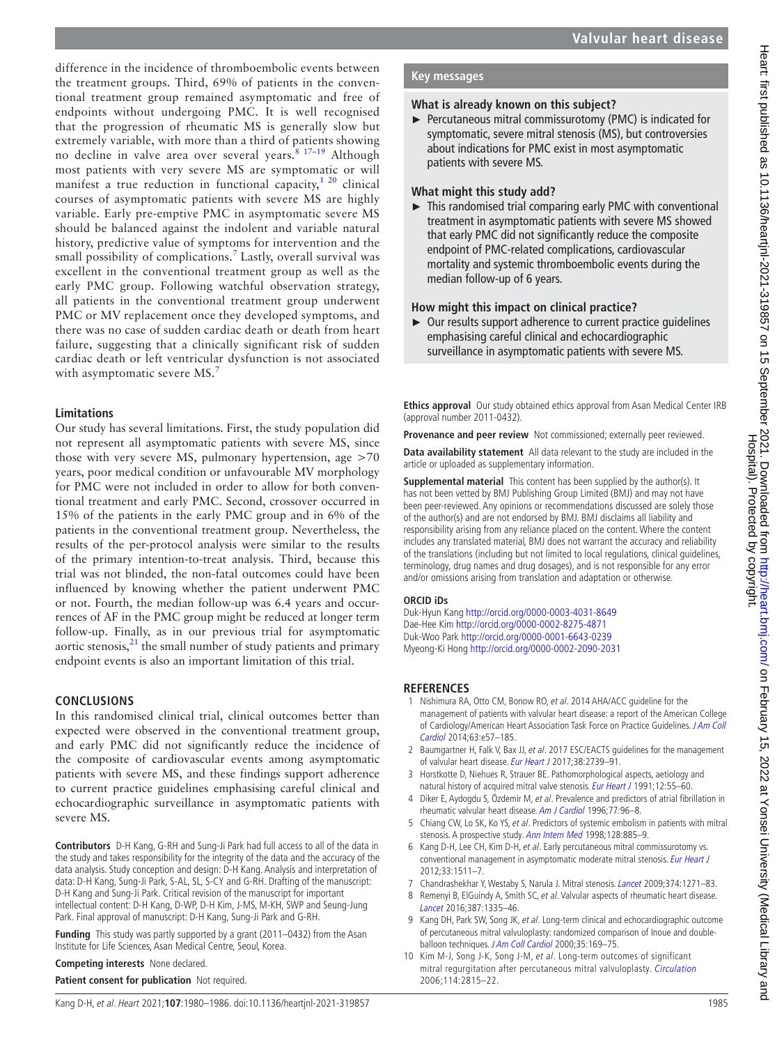difference in the incidence of thromboembolic events between the treatment groups. Third, 69% of patients in the conventional treatment group remained asymptomatic and free of endpoints without undergoing PMC. It is well recognised that the progression of rheumatic MS is generally slow but extremely variable, with more than a third of patients showing no decline in valve area over several years.<sup>8 17-19</sup> Although most patients with very severe MS are symptomatic or will manifest a true reduction in functional capacity, $1^{20}$  clinical courses of asymptomatic patients with severe MS are highly variable. Early pre-emptive PMC in asymptomatic severe MS should be balanced against the indolent and variable natural history, predictive value of symptoms for intervention and the small possibility of complications.<sup>[7](#page-5-8)</sup> Lastly, overall survival was excellent in the conventional treatment group as well as the early PMC group. Following watchful observation strategy, all patients in the conventional treatment group underwent PMC or MV replacement once they developed symptoms, and there was no case of sudden cardiac death or death from heart failure, suggesting that a clinically significant risk of sudden cardiac death or left ventricular dysfunction is not associated with asymptomatic severe MS.<sup>[7](#page-5-8)</sup>

## **Limitations**

Our study has several limitations. First, the study population did not represent all asymptomatic patients with severe MS, since those with very severe MS, pulmonary hypertension, age >70 years, poor medical condition or unfavourable MV morphology for PMC were not included in order to allow for both conventional treatment and early PMC. Second, crossover occurred in 15% of the patients in the early PMC group and in 6% of the patients in the conventional treatment group. Nevertheless, the results of the per-protocol analysis were similar to the results of the primary intention-to-treat analysis. Third, because this trial was not blinded, the non-fatal outcomes could have been influenced by knowing whether the patient underwent PMC or not. Fourth, the median follow-up was 6.4 years and occurrences of AF in the PMC group might be reduced at longer term follow-up. Finally, as in our previous trial for asymptomatic aortic stenosis, $^{21}$  $^{21}$  $^{21}$  the small number of study patients and primary endpoint events is also an important limitation of this trial.

## **CONCLUSIONS**

In this randomised clinical trial, clinical outcomes better than expected were observed in the conventional treatment group, and early PMC did not significantly reduce the incidence of the composite of cardiovascular events among asymptomatic patients with severe MS, and these findings support adherence to current practice guidelines emphasising careful clinical and echocardiographic surveillance in asymptomatic patients with severe MS.

**Contributors** D-H Kang, G-RH and Sung-Ji Park had full access to all of the data in the study and takes responsibility for the integrity of the data and the accuracy of the data analysis. Study conception and design: D-H Kang. Analysis and interpretation of data: D-H Kang, Sung-Ji Park, S-AL, SL, S-CY and G-RH. Drafting of the manuscript: D-H Kang and Sung-Ji Park. Critical revision of the manuscript for important intellectual content: D-H Kang, D-WP, D-H Kim, J-MS, M-KH, SWP and Seung-Jung Park. Final approval of manuscript: D-H Kang, Sung-Ji Park and G-RH.

**Funding** This study was partly supported by a grant (2011–0432) from the Asan Institute for Life Sciences, Asan Medical Centre, Seoul, Korea.

**Competing interests** None declared.

**Patient consent for publication** Not required.

## **What is already known on this subject?**

► Percutaneous mitral commissurotomy (PMC) is indicated for symptomatic, severe mitral stenosis (MS), but controversies about indications for PMC exist in most asymptomatic patients with severe MS.

## **What might this study add?**

 $\blacktriangleright$  This randomised trial comparing early PMC with conventional treatment in asymptomatic patients with severe MS showed that early PMC did not significantly reduce the composite endpoint of PMC-related complications, cardiovascular mortality and systemic thromboembolic events during the median follow-up of 6 years.

## **How might this impact on clinical practice?**

► Our results support adherence to current practice guidelines emphasising careful clinical and echocardiographic surveillance in asymptomatic patients with severe MS.

**Ethics approval** Our study obtained ethics approval from Asan Medical Center IRB (approval number 2011-0432).

**Provenance and peer review** Not commissioned; externally peer reviewed.

**Data availability statement** All data relevant to the study are included in the article or uploaded as supplementary information.

**Supplemental material** This content has been supplied by the author(s). It has not been vetted by BMJ Publishing Group Limited (BMJ) and may not have been peer-reviewed. Any opinions or recommendations discussed are solely those of the author(s) and are not endorsed by BMJ. BMJ disclaims all liability and responsibility arising from any reliance placed on the content. Where the content includes any translated material, BMJ does not warrant the accuracy and reliability of the translations (including but not limited to local regulations, clinical guidelines, terminology, drug names and drug dosages), and is not responsible for any error and/or omissions arising from translation and adaptation or otherwise.

## **ORCID iDs**

Duk-Hyun Kang<http://orcid.org/0000-0003-4031-8649> Dae-Hee Kim <http://orcid.org/0000-0002-8275-4871> Duk-Woo Park <http://orcid.org/0000-0001-6643-0239> Myeong-Ki Hong <http://orcid.org/0000-0002-2090-2031>

## **REFERENCES**

- <span id="page-5-0"></span>1 Nishimura RA, Otto CM, Bonow RO, et al. 2014 AHA/ACC guideline for the management of patients with valvular heart disease: a report of the American College of Cardiology/American Heart Association Task Force on Practice Guidelines. [J Am Coll](http://dx.doi.org/10.1016/j.jacc.2014.02.536)  [Cardiol](http://dx.doi.org/10.1016/j.jacc.2014.02.536) 2014;63:e57–185.
- 2 Baumgartner H, Falk V, Bax JJ, et al. 2017 ESC/EACTS guidelines for the management of valvular heart disease. [Eur Heart J](http://dx.doi.org/10.1093/eurheartj/ehx391) 2017;38:2739-91.
- <span id="page-5-1"></span>3 Horstkotte D, Niehues R, Strauer BE. Pathomorphological aspects, aetiology and natural history of acquired mitral valve stenosis. [Eur Heart J](http://dx.doi.org/10.1093/eurheartj/12.suppl_B.55) 1991;12:55-60.
- <span id="page-5-2"></span>4 Diker E, Aydogdu S, Özdemir M, et al. Prevalence and predictors of atrial fibrillation in rheumatic valvular heart disease. [Am J Cardiol](http://dx.doi.org/10.1016/S0002-9149(97)89145-X) 1996;77:96–8.
- <span id="page-5-7"></span>5 Chiang CW, Lo SK, Ko YS, et al. Predictors of systemic embolism in patients with mitral stenosis. A prospective study. [Ann Intern Med](http://dx.doi.org/10.7326/0003-4819-128-11-199806010-00001) 1998;128:885-9.
- <span id="page-5-3"></span>6 Kang D-H, Lee CH, Kim D-H, et al. Early percutaneous mitral commissurotomy vs. conventional management in asymptomatic moderate mitral stenosis. [Eur Heart J](http://dx.doi.org/10.1093/eurheartj/ehr495) 2012;33:1511–7.
- <span id="page-5-8"></span>7 Chandrashekhar Y, Westaby S, Narula J. Mitral stenosis. [Lancet](http://dx.doi.org/10.1016/S0140-6736(09)60994-6) 2009;374:1271-83.
- <span id="page-5-4"></span>8 Remenyi B, ElGuindy A, Smith SC, et al. Valvular aspects of rheumatic heart disease. [Lancet](http://dx.doi.org/10.1016/S0140-6736(16)00547-X) 2016;387:1335–46.
- <span id="page-5-5"></span>9 Kang DH, Park SW, Song JK, et al. Long-term clinical and echocardiographic outcome of percutaneous mitral valvuloplasty: randomized comparison of Inoue and double-balloon techniques. [J Am Coll Cardiol](http://dx.doi.org/10.1016/s0735-1097(99)00502-1) 2000;35:169-75.
- <span id="page-5-6"></span>10 Kim M-J, Song J-K, Song J-M, et al. Long-term outcomes of significant mitral regurgitation after percutaneous mitral valvuloplasty. [Circulation](http://dx.doi.org/10.1161/CIRCULATIONAHA.106.658088) 2006;114:2815–22.